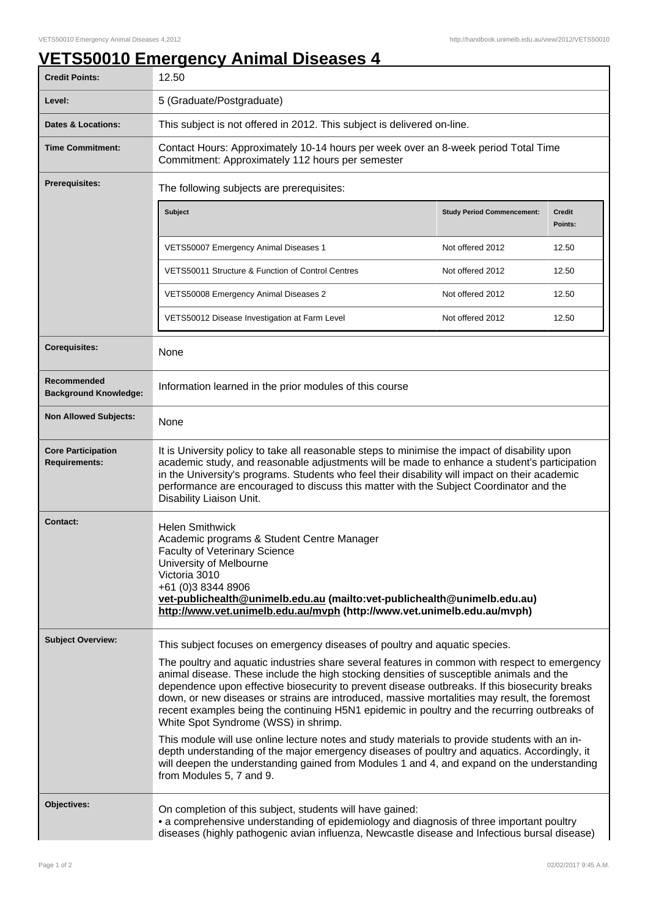## **VETS50010 Emergency Animal Diseases 4**

| <b>Credit Points:</b>                             | 12.50                                                                                                                                                                                                                                                                                                                                                                                                                                                                                                                                                                                                                                                                                                                                                                                                                                                                                                                                         |                                   |                   |
|---------------------------------------------------|-----------------------------------------------------------------------------------------------------------------------------------------------------------------------------------------------------------------------------------------------------------------------------------------------------------------------------------------------------------------------------------------------------------------------------------------------------------------------------------------------------------------------------------------------------------------------------------------------------------------------------------------------------------------------------------------------------------------------------------------------------------------------------------------------------------------------------------------------------------------------------------------------------------------------------------------------|-----------------------------------|-------------------|
| Level:                                            | 5 (Graduate/Postgraduate)                                                                                                                                                                                                                                                                                                                                                                                                                                                                                                                                                                                                                                                                                                                                                                                                                                                                                                                     |                                   |                   |
| Dates & Locations:                                | This subject is not offered in 2012. This subject is delivered on-line.                                                                                                                                                                                                                                                                                                                                                                                                                                                                                                                                                                                                                                                                                                                                                                                                                                                                       |                                   |                   |
| <b>Time Commitment:</b>                           | Contact Hours: Approximately 10-14 hours per week over an 8-week period Total Time<br>Commitment: Approximately 112 hours per semester                                                                                                                                                                                                                                                                                                                                                                                                                                                                                                                                                                                                                                                                                                                                                                                                        |                                   |                   |
| <b>Prerequisites:</b>                             | The following subjects are prerequisites:                                                                                                                                                                                                                                                                                                                                                                                                                                                                                                                                                                                                                                                                                                                                                                                                                                                                                                     |                                   |                   |
|                                                   | <b>Subject</b>                                                                                                                                                                                                                                                                                                                                                                                                                                                                                                                                                                                                                                                                                                                                                                                                                                                                                                                                | <b>Study Period Commencement:</b> | Credit<br>Points: |
|                                                   | VETS50007 Emergency Animal Diseases 1                                                                                                                                                                                                                                                                                                                                                                                                                                                                                                                                                                                                                                                                                                                                                                                                                                                                                                         | Not offered 2012                  | 12.50             |
|                                                   | VETS50011 Structure & Function of Control Centres                                                                                                                                                                                                                                                                                                                                                                                                                                                                                                                                                                                                                                                                                                                                                                                                                                                                                             | Not offered 2012                  | 12.50             |
|                                                   | VETS50008 Emergency Animal Diseases 2                                                                                                                                                                                                                                                                                                                                                                                                                                                                                                                                                                                                                                                                                                                                                                                                                                                                                                         | Not offered 2012                  | 12.50             |
|                                                   | VETS50012 Disease Investigation at Farm Level                                                                                                                                                                                                                                                                                                                                                                                                                                                                                                                                                                                                                                                                                                                                                                                                                                                                                                 | Not offered 2012                  | 12.50             |
| <b>Corequisites:</b>                              | None                                                                                                                                                                                                                                                                                                                                                                                                                                                                                                                                                                                                                                                                                                                                                                                                                                                                                                                                          |                                   |                   |
| Recommended<br><b>Background Knowledge:</b>       | Information learned in the prior modules of this course                                                                                                                                                                                                                                                                                                                                                                                                                                                                                                                                                                                                                                                                                                                                                                                                                                                                                       |                                   |                   |
| <b>Non Allowed Subjects:</b>                      | None                                                                                                                                                                                                                                                                                                                                                                                                                                                                                                                                                                                                                                                                                                                                                                                                                                                                                                                                          |                                   |                   |
| <b>Core Participation</b><br><b>Requirements:</b> | It is University policy to take all reasonable steps to minimise the impact of disability upon<br>academic study, and reasonable adjustments will be made to enhance a student's participation<br>in the University's programs. Students who feel their disability will impact on their academic<br>performance are encouraged to discuss this matter with the Subject Coordinator and the<br>Disability Liaison Unit.                                                                                                                                                                                                                                                                                                                                                                                                                                                                                                                        |                                   |                   |
| <b>Contact:</b>                                   | <b>Helen Smithwick</b><br>Academic programs & Student Centre Manager<br><b>Faculty of Veterinary Science</b><br>University of Melbourne<br>Victoria 3010<br>+61 (0)3 8344 8906<br>vet-publichealth@unimelb.edu.au (mailto:vet-publichealth@unimelb.edu.au)<br>http://www.vet.unimelb.edu.au/mvph (http://www.vet.unimelb.edu.au/mvph)                                                                                                                                                                                                                                                                                                                                                                                                                                                                                                                                                                                                         |                                   |                   |
| <b>Subject Overview:</b>                          | This subject focuses on emergency diseases of poultry and aquatic species.<br>The poultry and aquatic industries share several features in common with respect to emergency<br>animal disease. These include the high stocking densities of susceptible animals and the<br>dependence upon effective biosecurity to prevent disease outbreaks. If this biosecurity breaks<br>down, or new diseases or strains are introduced, massive mortalities may result, the foremost<br>recent examples being the continuing H5N1 epidemic in poultry and the recurring outbreaks of<br>White Spot Syndrome (WSS) in shrimp.<br>This module will use online lecture notes and study materials to provide students with an in-<br>depth understanding of the major emergency diseases of poultry and aquatics. Accordingly, it<br>will deepen the understanding gained from Modules 1 and 4, and expand on the understanding<br>from Modules 5, 7 and 9. |                                   |                   |
| Objectives:                                       | On completion of this subject, students will have gained:<br>• a comprehensive understanding of epidemiology and diagnosis of three important poultry<br>diseases (highly pathogenic avian influenza, Newcastle disease and Infectious bursal disease)                                                                                                                                                                                                                                                                                                                                                                                                                                                                                                                                                                                                                                                                                        |                                   |                   |